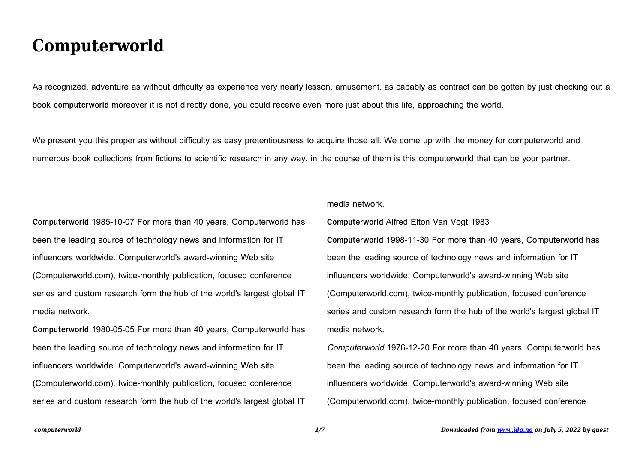## **Computerworld**

As recognized, adventure as without difficulty as experience very nearly lesson, amusement, as capably as contract can be gotten by just checking out a book **computerworld** moreover it is not directly done, you could receive even more just about this life, approaching the world.

We present you this proper as without difficulty as easy pretentiousness to acquire those all. We come up with the money for computerworld and numerous book collections from fictions to scientific research in any way. in the course of them is this computerworld that can be your partner.

**Computerworld** 1985-10-07 For more than 40 years, Computerworld has been the leading source of technology news and information for IT influencers worldwide. Computerworld's award-winning Web site (Computerworld.com), twice-monthly publication, focused conference series and custom research form the hub of the world's largest global IT media network.

**Computerworld** 1980-05-05 For more than 40 years, Computerworld has been the leading source of technology news and information for IT influencers worldwide. Computerworld's award-winning Web site (Computerworld.com), twice-monthly publication, focused conference series and custom research form the hub of the world's largest global IT media network.

**Computerworld** Alfred Elton Van Vogt 1983

**Computerworld** 1998-11-30 For more than 40 years, Computerworld has been the leading source of technology news and information for IT influencers worldwide. Computerworld's award-winning Web site (Computerworld.com), twice-monthly publication, focused conference series and custom research form the hub of the world's largest global IT media network.

Computerworld 1976-12-20 For more than 40 years, Computerworld has been the leading source of technology news and information for IT influencers worldwide. Computerworld's award-winning Web site (Computerworld.com), twice-monthly publication, focused conference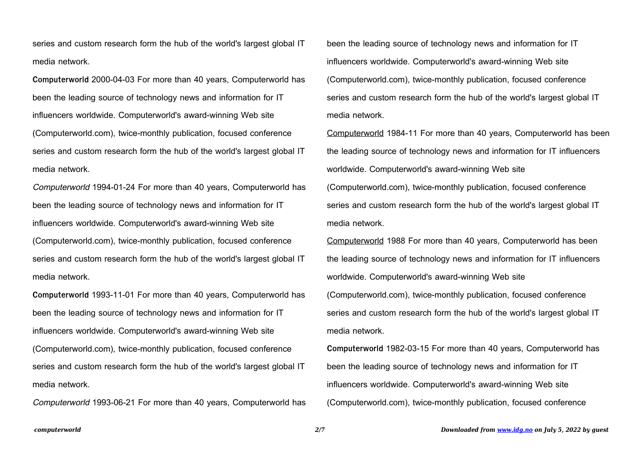**Computerworld** 2000-04-03 For more than 40 years, Computerworld has been the leading source of technology news and information for IT influencers worldwide. Computerworld's award-winning Web site (Computerworld.com), twice-monthly publication, focused conference series and custom research form the hub of the world's largest global IT media network.

Computerworld 1994-01-24 For more than 40 years, Computerworld has been the leading source of technology news and information for IT influencers worldwide. Computerworld's award-winning Web site (Computerworld.com), twice-monthly publication, focused conference series and custom research form the hub of the world's largest global IT media network.

**Computerworld** 1993-11-01 For more than 40 years, Computerworld has been the leading source of technology news and information for IT influencers worldwide. Computerworld's award-winning Web site (Computerworld.com), twice-monthly publication, focused conference series and custom research form the hub of the world's largest global IT media network.

Computerworld 1993-06-21 For more than 40 years, Computerworld has

been the leading source of technology news and information for IT influencers worldwide. Computerworld's award-winning Web site (Computerworld.com), twice-monthly publication, focused conference series and custom research form the hub of the world's largest global IT media network.

Computerworld 1984-11 For more than 40 years, Computerworld has been the leading source of technology news and information for IT influencers worldwide. Computerworld's award-winning Web site (Computerworld.com), twice-monthly publication, focused conference series and custom research form the hub of the world's largest global IT media network.

Computerworld 1988 For more than 40 years, Computerworld has been the leading source of technology news and information for IT influencers worldwide. Computerworld's award-winning Web site (Computerworld.com), twice-monthly publication, focused conference series and custom research form the hub of the world's largest global IT media network.

**Computerworld** 1982-03-15 For more than 40 years, Computerworld has been the leading source of technology news and information for IT influencers worldwide. Computerworld's award-winning Web site (Computerworld.com), twice-monthly publication, focused conference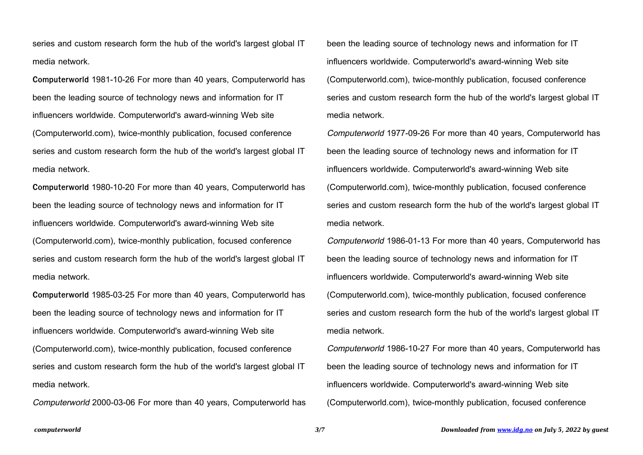**Computerworld** 1981-10-26 For more than 40 years, Computerworld has been the leading source of technology news and information for IT influencers worldwide. Computerworld's award-winning Web site (Computerworld.com), twice-monthly publication, focused conference series and custom research form the hub of the world's largest global IT media network.

**Computerworld** 1980-10-20 For more than 40 years, Computerworld has been the leading source of technology news and information for IT influencers worldwide. Computerworld's award-winning Web site (Computerworld.com), twice-monthly publication, focused conference series and custom research form the hub of the world's largest global IT media network.

**Computerworld** 1985-03-25 For more than 40 years, Computerworld has been the leading source of technology news and information for IT influencers worldwide. Computerworld's award-winning Web site (Computerworld.com), twice-monthly publication, focused conference series and custom research form the hub of the world's largest global IT media network.

Computerworld 2000-03-06 For more than 40 years, Computerworld has

been the leading source of technology news and information for IT influencers worldwide. Computerworld's award-winning Web site (Computerworld.com), twice-monthly publication, focused conference series and custom research form the hub of the world's largest global IT media network.

Computerworld 1977-09-26 For more than 40 years, Computerworld has been the leading source of technology news and information for IT influencers worldwide. Computerworld's award-winning Web site (Computerworld.com), twice-monthly publication, focused conference series and custom research form the hub of the world's largest global IT media network.

Computerworld 1986-01-13 For more than 40 years, Computerworld has been the leading source of technology news and information for IT influencers worldwide. Computerworld's award-winning Web site (Computerworld.com), twice-monthly publication, focused conference series and custom research form the hub of the world's largest global IT media network.

Computerworld 1986-10-27 For more than 40 years, Computerworld has been the leading source of technology news and information for IT influencers worldwide. Computerworld's award-winning Web site (Computerworld.com), twice-monthly publication, focused conference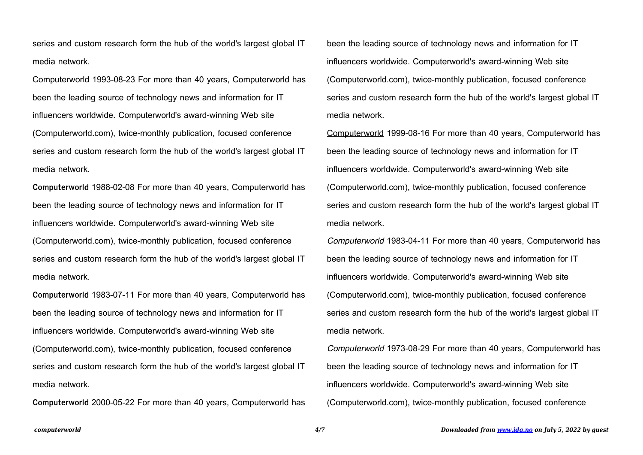Computerworld 1993-08-23 For more than 40 years, Computerworld has been the leading source of technology news and information for IT influencers worldwide. Computerworld's award-winning Web site (Computerworld.com), twice-monthly publication, focused conference series and custom research form the hub of the world's largest global IT media network.

**Computerworld** 1988-02-08 For more than 40 years, Computerworld has been the leading source of technology news and information for IT influencers worldwide. Computerworld's award-winning Web site (Computerworld.com), twice-monthly publication, focused conference series and custom research form the hub of the world's largest global IT media network.

**Computerworld** 1983-07-11 For more than 40 years, Computerworld has been the leading source of technology news and information for IT influencers worldwide. Computerworld's award-winning Web site (Computerworld.com), twice-monthly publication, focused conference series and custom research form the hub of the world's largest global IT media network.

**Computerworld** 2000-05-22 For more than 40 years, Computerworld has

been the leading source of technology news and information for IT influencers worldwide. Computerworld's award-winning Web site (Computerworld.com), twice-monthly publication, focused conference series and custom research form the hub of the world's largest global IT media network.

Computerworld 1999-08-16 For more than 40 years, Computerworld has been the leading source of technology news and information for IT influencers worldwide. Computerworld's award-winning Web site (Computerworld.com), twice-monthly publication, focused conference series and custom research form the hub of the world's largest global IT media network.

Computerworld 1983-04-11 For more than 40 years, Computerworld has been the leading source of technology news and information for IT influencers worldwide. Computerworld's award-winning Web site (Computerworld.com), twice-monthly publication, focused conference series and custom research form the hub of the world's largest global IT media network.

Computerworld 1973-08-29 For more than 40 years, Computerworld has been the leading source of technology news and information for IT influencers worldwide. Computerworld's award-winning Web site (Computerworld.com), twice-monthly publication, focused conference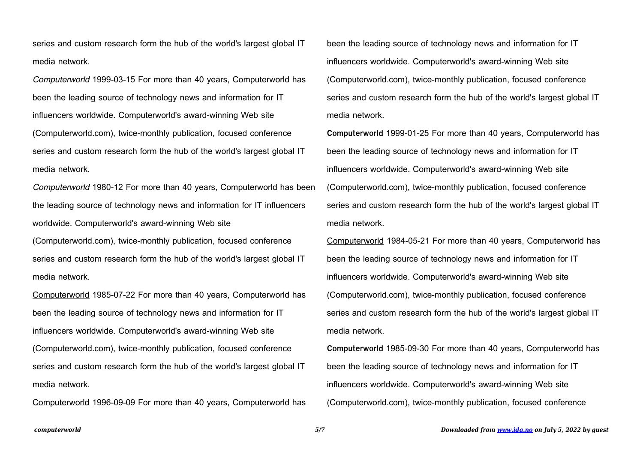Computerworld 1999-03-15 For more than 40 years, Computerworld has been the leading source of technology news and information for IT influencers worldwide. Computerworld's award-winning Web site (Computerworld.com), twice-monthly publication, focused conference series and custom research form the hub of the world's largest global IT media network.

Computerworld 1980-12 For more than 40 years, Computerworld has been the leading source of technology news and information for IT influencers worldwide. Computerworld's award-winning Web site

(Computerworld.com), twice-monthly publication, focused conference series and custom research form the hub of the world's largest global IT media network.

Computerworld 1985-07-22 For more than 40 years, Computerworld has been the leading source of technology news and information for IT influencers worldwide. Computerworld's award-winning Web site (Computerworld.com), twice-monthly publication, focused conference series and custom research form the hub of the world's largest global IT media network.

Computerworld 1996-09-09 For more than 40 years, Computerworld has

been the leading source of technology news and information for IT influencers worldwide. Computerworld's award-winning Web site (Computerworld.com), twice-monthly publication, focused conference series and custom research form the hub of the world's largest global IT media network.

**Computerworld** 1999-01-25 For more than 40 years, Computerworld has been the leading source of technology news and information for IT influencers worldwide. Computerworld's award-winning Web site (Computerworld.com), twice-monthly publication, focused conference series and custom research form the hub of the world's largest global IT media network.

Computerworld 1984-05-21 For more than 40 years, Computerworld has been the leading source of technology news and information for IT influencers worldwide. Computerworld's award-winning Web site (Computerworld.com), twice-monthly publication, focused conference series and custom research form the hub of the world's largest global IT media network.

**Computerworld** 1985-09-30 For more than 40 years, Computerworld has been the leading source of technology news and information for IT influencers worldwide. Computerworld's award-winning Web site (Computerworld.com), twice-monthly publication, focused conference